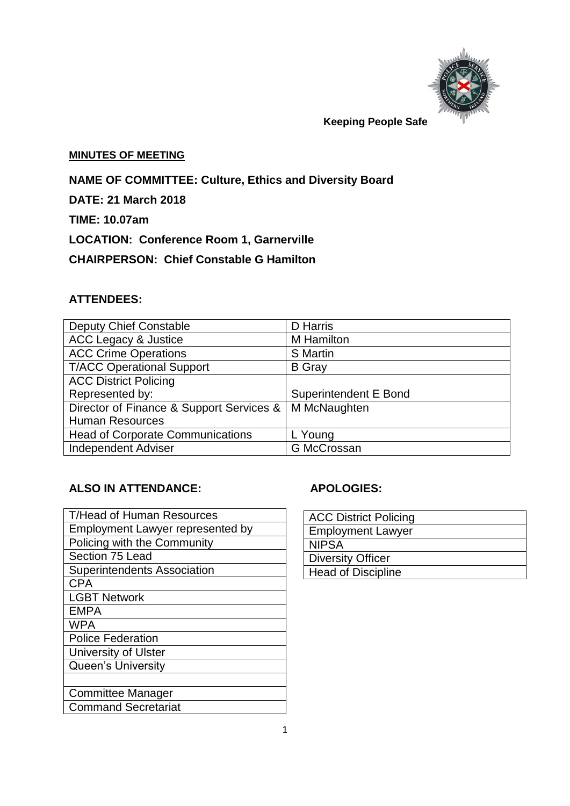

 **Keeping People Safe** 

#### **MINUTES OF MEETING**

**NAME OF COMMITTEE: Culture, Ethics and Diversity Board**

**DATE: 21 March 2018**

**TIME: 10.07am**

**LOCATION: Conference Room 1, Garnerville**

**CHAIRPERSON: Chief Constable G Hamilton**

## **ATTENDEES:**

| <b>Deputy Chief Constable</b>            | <b>D</b> Harris              |
|------------------------------------------|------------------------------|
| <b>ACC Legacy &amp; Justice</b>          | M Hamilton                   |
| <b>ACC Crime Operations</b>              | <b>S</b> Martin              |
| <b>T/ACC Operational Support</b>         | <b>B</b> Gray                |
| <b>ACC District Policing</b>             |                              |
| Represented by:                          | <b>Superintendent E Bond</b> |
| Director of Finance & Support Services & | M McNaughten                 |
| <b>Human Resources</b>                   |                              |
| <b>Head of Corporate Communications</b>  | L Young                      |
| <b>Independent Adviser</b>               | G McCrossan                  |

# **ALSO IN ATTENDANCE: APOLOGIES:**

| <b>T/Head of Human Resources</b>        |
|-----------------------------------------|
| <b>Employment Lawyer represented by</b> |
| Policing with the Community             |
| Section 75 Lead                         |
| <b>Superintendents Association</b>      |
| <b>CPA</b>                              |
| <b>LGBT Network</b>                     |
| <b>EMPA</b>                             |
| <b>WPA</b>                              |
| <b>Police Federation</b>                |
| <b>University of Ulster</b>             |
| <b>Queen's University</b>               |
|                                         |
| <b>Committee Manager</b>                |
| <b>Command Secretariat</b>              |

| <b>ACC District Policing</b> |
|------------------------------|
| <b>Employment Lawyer</b>     |
| <b>NIPSA</b>                 |
| Diversity Officer            |
| <b>Head of Discipline</b>    |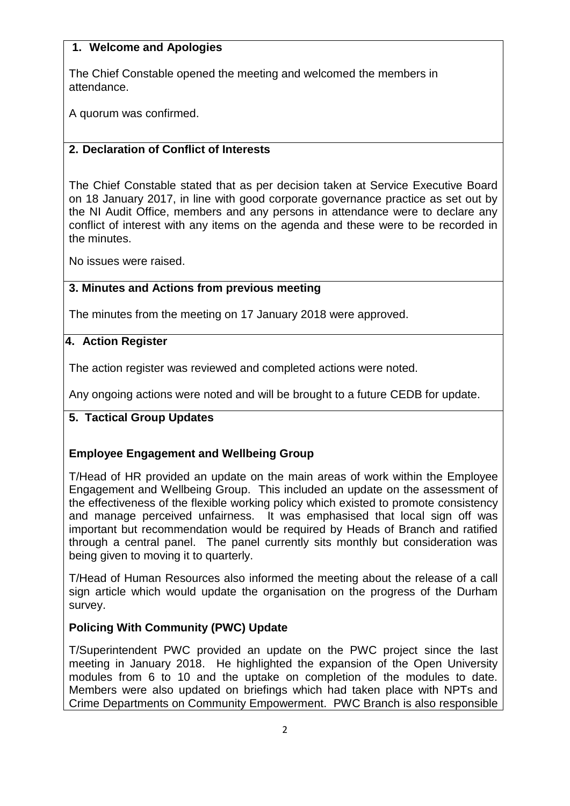#### **1. Welcome and Apologies**

The Chief Constable opened the meeting and welcomed the members in attendance.

A quorum was confirmed.

## **2. Declaration of Conflict of Interests**

The Chief Constable stated that as per decision taken at Service Executive Board on 18 January 2017, in line with good corporate governance practice as set out by the NI Audit Office, members and any persons in attendance were to declare any conflict of interest with any items on the agenda and these were to be recorded in the minutes.

No issues were raised.

#### **3. 3. Minutes and Actions from previous meeting**

The minutes from the meeting on 17 January 2018 were approved.

#### **4. Action Register**

The action register was reviewed and completed actions were noted.

Any ongoing actions were noted and will be brought to a future CEDB for update.

## **5. Tactical Group Updates**

## **Employee Engagement and Wellbeing Group**

T/Head of HR provided an update on the main areas of work within the Employee Engagement and Wellbeing Group. This included an update on the assessment of the effectiveness of the flexible working policy which existed to promote consistency and manage perceived unfairness. It was emphasised that local sign off was important but recommendation would be required by Heads of Branch and ratified through a central panel. The panel currently sits monthly but consideration was being given to moving it to quarterly.

T/Head of Human Resources also informed the meeting about the release of a call sign article which would update the organisation on the progress of the Durham survey.

## **Policing With Community (PWC) Update**

T/Superintendent PWC provided an update on the PWC project since the last meeting in January 2018. He highlighted the expansion of the Open University modules from 6 to 10 and the uptake on completion of the modules to date. Members were also updated on briefings which had taken place with NPTs and Crime Departments on Community Empowerment. PWC Branch is also responsible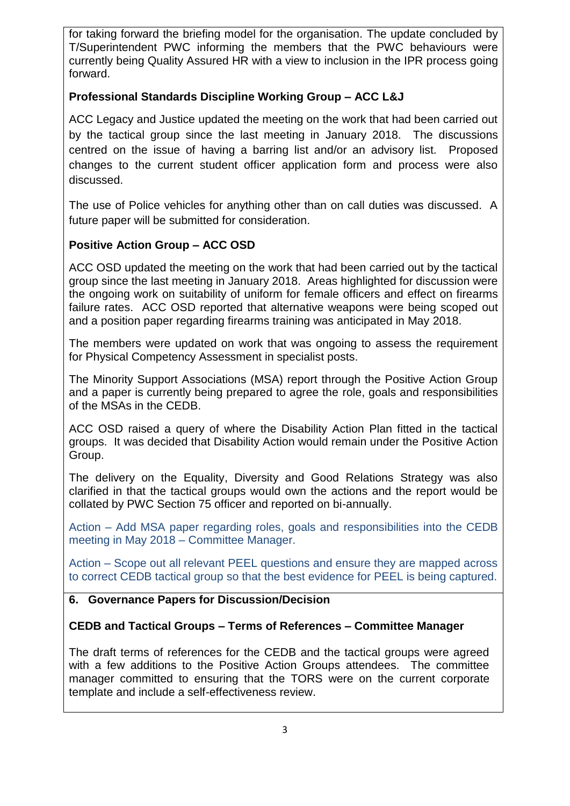for taking forward the briefing model for the organisation. The update concluded by T/Superintendent PWC informing the members that the PWC behaviours were currently being Quality Assured HR with a view to inclusion in the IPR process going forward.

## **Professional Standards Discipline Working Group – ACC L&J**

ACC Legacy and Justice updated the meeting on the work that had been carried out by the tactical group since the last meeting in January 2018. The discussions centred on the issue of having a barring list and/or an advisory list. Proposed changes to the current student officer application form and process were also discussed.

The use of Police vehicles for anything other than on call duties was discussed. A future paper will be submitted for consideration.

#### **Positive Action Group – ACC OSD**

ACC OSD updated the meeting on the work that had been carried out by the tactical group since the last meeting in January 2018. Areas highlighted for discussion were the ongoing work on suitability of uniform for female officers and effect on firearms failure rates. ACC OSD reported that alternative weapons were being scoped out and a position paper regarding firearms training was anticipated in May 2018.

The members were updated on work that was ongoing to assess the requirement for Physical Competency Assessment in specialist posts.

The Minority Support Associations (MSA) report through the Positive Action Group and a paper is currently being prepared to agree the role, goals and responsibilities of the MSAs in the CEDB.

ACC OSD raised a query of where the Disability Action Plan fitted in the tactical groups. It was decided that Disability Action would remain under the Positive Action Group.

The delivery on the Equality, Diversity and Good Relations Strategy was also clarified in that the tactical groups would own the actions and the report would be collated by PWC Section 75 officer and reported on bi-annually.

Action – Add MSA paper regarding roles, goals and responsibilities into the CEDB meeting in May 2018 – Committee Manager.

Action – Scope out all relevant PEEL questions and ensure they are mapped across to correct CEDB tactical group so that the best evidence for PEEL is being captured.

#### **6. Governance Papers for Discussion/Decision**

#### **CEDB and Tactical Groups – Terms of References – Committee Manager**

The draft terms of references for the CEDB and the tactical groups were agreed with a few additions to the Positive Action Groups attendees. The committee manager committed to ensuring that the TORS were on the current corporate template and include a self-effectiveness review.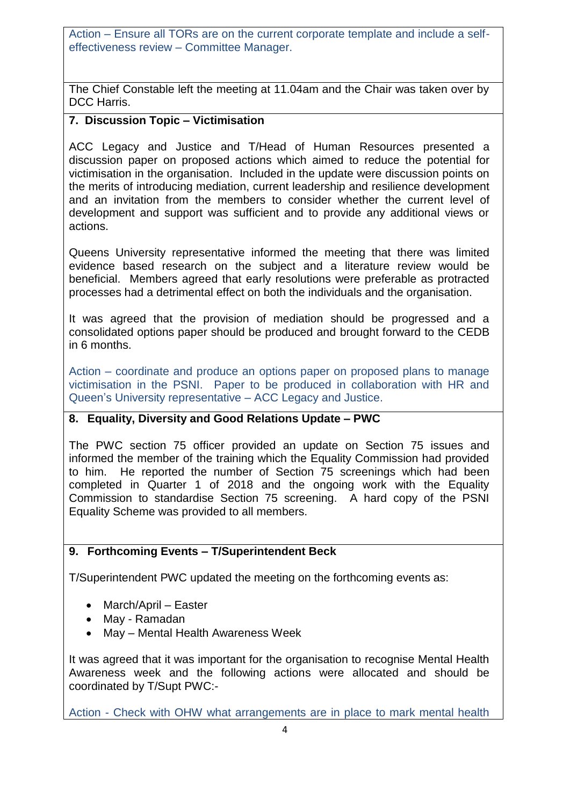Action – Ensure all TORs are on the current corporate template and include a selfeffectiveness review – Committee Manager.

The Chief Constable left the meeting at 11.04am and the Chair was taken over by DCC Harris.

## **7. Discussion Topic – Victimisation**

ACC Legacy and Justice and T/Head of Human Resources presented a discussion paper on proposed actions which aimed to reduce the potential for victimisation in the organisation. Included in the update were discussion points on the merits of introducing mediation, current leadership and resilience development and an invitation from the members to consider whether the current level of development and support was sufficient and to provide any additional views or actions.

Queens University representative informed the meeting that there was limited evidence based research on the subject and a literature review would be beneficial. Members agreed that early resolutions were preferable as protracted processes had a detrimental effect on both the individuals and the organisation.

It was agreed that the provision of mediation should be progressed and a consolidated options paper should be produced and brought forward to the CEDB in 6 months.

Action – coordinate and produce an options paper on proposed plans to manage victimisation in the PSNI. Paper to be produced in collaboration with HR and Queen's University representative – ACC Legacy and Justice.

## **8. Equality, Diversity and Good Relations Update – PWC**

The PWC section 75 officer provided an update on Section 75 issues and informed the member of the training which the Equality Commission had provided to him. He reported the number of Section 75 screenings which had been completed in Quarter 1 of 2018 and the ongoing work with the Equality Commission to standardise Section 75 screening. A hard copy of the PSNI Equality Scheme was provided to all members.

## **9. Forthcoming Events – T/Superintendent Beck**

T/Superintendent PWC updated the meeting on the forthcoming events as:

- March/April Easter
- May Ramadan
- May Mental Health Awareness Week

It was agreed that it was important for the organisation to recognise Mental Health Awareness week and the following actions were allocated and should be coordinated by T/Supt PWC:-

Action - Check with OHW what arrangements are in place to mark mental health